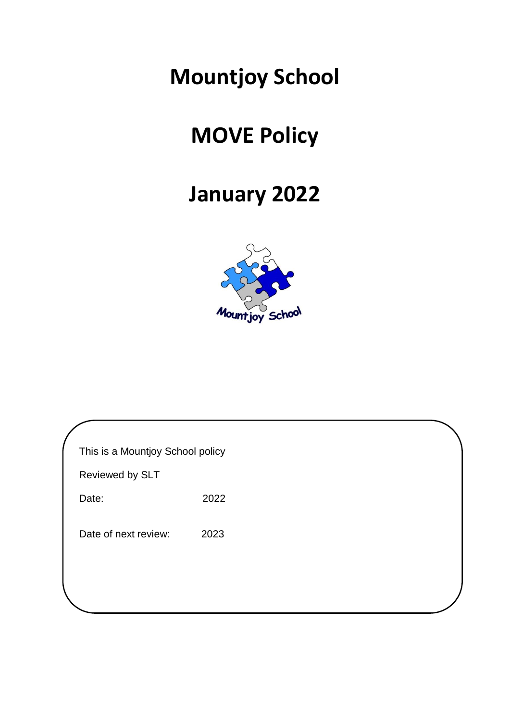## **Mountjoy School**

# **MOVE Policy**

### **January 2022**



| This is a Mountjoy School policy |      |  |  |  |
|----------------------------------|------|--|--|--|
| Reviewed by SLT                  |      |  |  |  |
| Date:                            | 2022 |  |  |  |
| Date of next review:             | 2023 |  |  |  |
|                                  |      |  |  |  |
|                                  |      |  |  |  |
|                                  |      |  |  |  |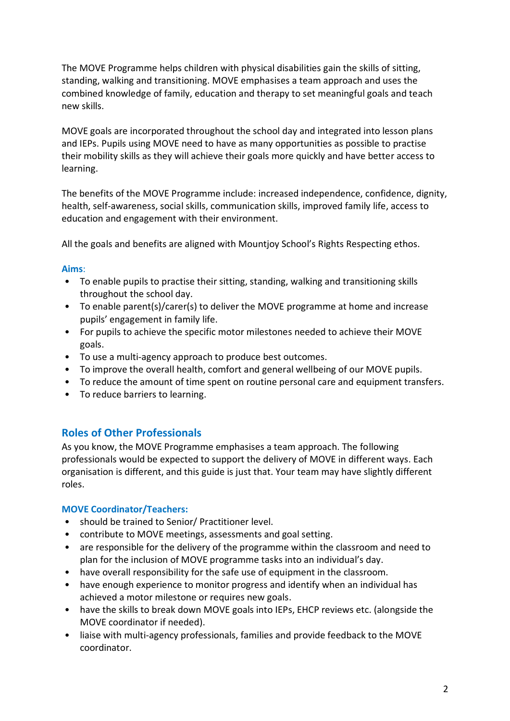The MOVE Programme helps children with physical disabilities gain the skills of sitting, standing, walking and transitioning. MOVE emphasises a team approach and uses the combined knowledge of family, education and therapy to set meaningful goals and teach new skills.

MOVE goals are incorporated throughout the school day and integrated into lesson plans and IEPs. Pupils using MOVE need to have as many opportunities as possible to practise their mobility skills as they will achieve their goals more quickly and have better access to learning.

The benefits of the MOVE Programme include: increased independence, confidence, dignity, health, self-awareness, social skills, communication skills, improved family life, access to education and engagement with their environment.

All the goals and benefits are aligned with Mountjoy School's Rights Respecting ethos.

#### **Aims**:

- To enable pupils to practise their sitting, standing, walking and transitioning skills throughout the school day.
- To enable parent(s)/carer(s) to deliver the MOVE programme at home and increase pupils' engagement in family life.
- For pupils to achieve the specific motor milestones needed to achieve their MOVE goals.
- To use a multi-agency approach to produce best outcomes.
- To improve the overall health, comfort and general wellbeing of our MOVE pupils.
- To reduce the amount of time spent on routine personal care and equipment transfers.
- To reduce barriers to learning.

### **Roles of Other Professionals**

As you know, the MOVE Programme emphasises a team approach. The following professionals would be expected to support the delivery of MOVE in different ways. Each organisation is different, and this guide is just that. Your team may have slightly different roles.

#### **MOVE Coordinator/Teachers:**

- should be trained to Senior/ Practitioner level.
- contribute to MOVE meetings, assessments and goal setting.
- are responsible for the delivery of the programme within the classroom and need to plan for the inclusion of MOVE programme tasks into an individual's day.
- have overall responsibility for the safe use of equipment in the classroom.
- have enough experience to monitor progress and identify when an individual has achieved a motor milestone or requires new goals.
- have the skills to break down MOVE goals into IEPs, EHCP reviews etc. (alongside the MOVE coordinator if needed).
- liaise with multi-agency professionals, families and provide feedback to the MOVE coordinator.